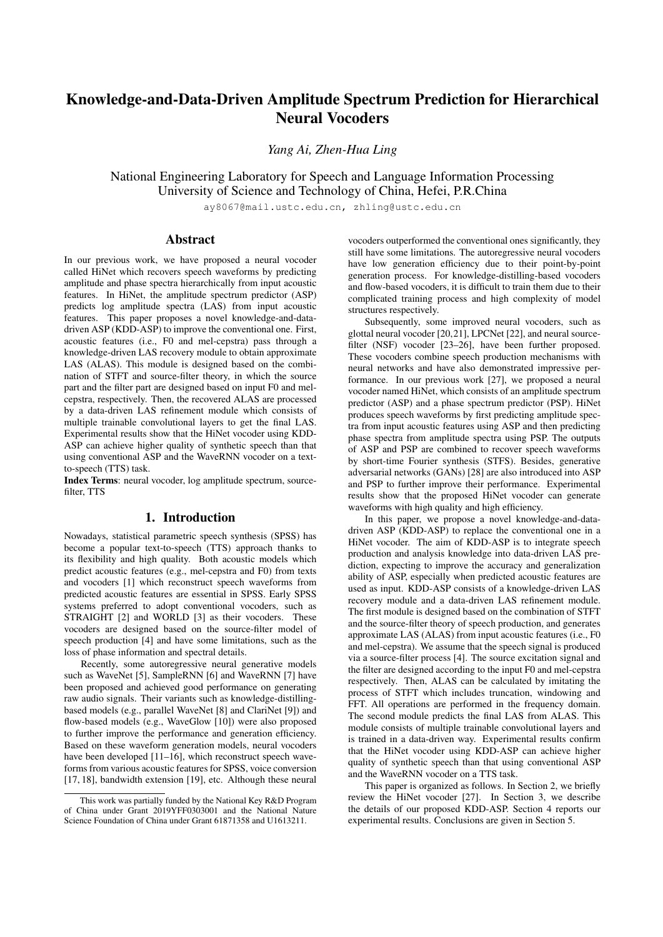# Knowledge-and-Data-Driven Amplitude Spectrum Prediction for Hierarchical Neural Vocoders

*Yang Ai, Zhen-Hua Ling*

National Engineering Laboratory for Speech and Language Information Processing University of Science and Technology of China, Hefei, P.R.China

ay8067@mail.ustc.edu.cn, zhling@ustc.edu.cn

# Abstract

In our previous work, we have proposed a neural vocoder called HiNet which recovers speech waveforms by predicting amplitude and phase spectra hierarchically from input acoustic features. In HiNet, the amplitude spectrum predictor (ASP) predicts log amplitude spectra (LAS) from input acoustic features. This paper proposes a novel knowledge-and-datadriven ASP (KDD-ASP) to improve the conventional one. First, acoustic features (i.e., F0 and mel-cepstra) pass through a knowledge-driven LAS recovery module to obtain approximate LAS (ALAS). This module is designed based on the combination of STFT and source-filter theory, in which the source part and the filter part are designed based on input F0 and melcepstra, respectively. Then, the recovered ALAS are processed by a data-driven LAS refinement module which consists of multiple trainable convolutional layers to get the final LAS. Experimental results show that the HiNet vocoder using KDD-ASP can achieve higher quality of synthetic speech than that using conventional ASP and the WaveRNN vocoder on a textto-speech (TTS) task.

Index Terms: neural vocoder, log amplitude spectrum, sourcefilter, TTS

# 1. Introduction

Nowadays, statistical parametric speech synthesis (SPSS) has become a popular text-to-speech (TTS) approach thanks to its flexibility and high quality. Both acoustic models which predict acoustic features (e.g., mel-cepstra and F0) from texts and vocoders [\[1\]](#page-4-0) which reconstruct speech waveforms from predicted acoustic features are essential in SPSS. Early SPSS systems preferred to adopt conventional vocoders, such as STRAIGHT [\[2\]](#page-4-1) and WORLD [\[3\]](#page-4-2) as their vocoders. These vocoders are designed based on the source-filter model of speech production [\[4\]](#page-4-3) and have some limitations, such as the loss of phase information and spectral details.

Recently, some autoregressive neural generative models such as WaveNet [\[5\]](#page-4-4), SampleRNN [\[6\]](#page-4-5) and WaveRNN [\[7\]](#page-4-6) have been proposed and achieved good performance on generating raw audio signals. Their variants such as knowledge-distillingbased models (e.g., parallel WaveNet [\[8\]](#page-4-7) and ClariNet [\[9\]](#page-4-8)) and flow-based models (e.g., WaveGlow [\[10\]](#page-4-9)) were also proposed to further improve the performance and generation efficiency. Based on these waveform generation models, neural vocoders have been developed [\[11](#page-4-10)[–16\]](#page-4-11), which reconstruct speech waveforms from various acoustic features for SPSS, voice conversion [\[17,](#page-4-12) [18\]](#page-4-13), bandwidth extension [\[19\]](#page-4-14), etc. Although these neural

vocoders outperformed the conventional ones significantly, they still have some limitations. The autoregressive neural vocoders have low generation efficiency due to their point-by-point generation process. For knowledge-distilling-based vocoders and flow-based vocoders, it is difficult to train them due to their complicated training process and high complexity of model structures respectively.

Subsequently, some improved neural vocoders, such as glottal neural vocoder [\[20](#page-4-15)[,21\]](#page-4-16), LPCNet [\[22\]](#page-4-17), and neural sourcefilter (NSF) vocoder [\[23](#page-4-18)[–26\]](#page-4-19), have been further proposed. These vocoders combine speech production mechanisms with neural networks and have also demonstrated impressive performance. In our previous work [\[27\]](#page-4-20), we proposed a neural vocoder named HiNet, which consists of an amplitude spectrum predictor (ASP) and a phase spectrum predictor (PSP). HiNet produces speech waveforms by first predicting amplitude spectra from input acoustic features using ASP and then predicting phase spectra from amplitude spectra using PSP. The outputs of ASP and PSP are combined to recover speech waveforms by short-time Fourier synthesis (STFS). Besides, generative adversarial networks (GANs) [\[28\]](#page-4-21) are also introduced into ASP and PSP to further improve their performance. Experimental results show that the proposed HiNet vocoder can generate waveforms with high quality and high efficiency.

In this paper, we propose a novel knowledge-and-datadriven ASP (KDD-ASP) to replace the conventional one in a HiNet vocoder. The aim of KDD-ASP is to integrate speech production and analysis knowledge into data-driven LAS prediction, expecting to improve the accuracy and generalization ability of ASP, especially when predicted acoustic features are used as input. KDD-ASP consists of a knowledge-driven LAS recovery module and a data-driven LAS refinement module. The first module is designed based on the combination of STFT and the source-filter theory of speech production, and generates approximate LAS (ALAS) from input acoustic features (i.e., F0 and mel-cepstra). We assume that the speech signal is produced via a source-filter process [\[4\]](#page-4-3). The source excitation signal and the filter are designed according to the input F0 and mel-cepstra respectively. Then, ALAS can be calculated by imitating the process of STFT which includes truncation, windowing and FFT. All operations are performed in the frequency domain. The second module predicts the final LAS from ALAS. This module consists of multiple trainable convolutional layers and is trained in a data-driven way. Experimental results confirm that the HiNet vocoder using KDD-ASP can achieve higher quality of synthetic speech than that using conventional ASP and the WaveRNN vocoder on a TTS task.

This paper is organized as follows. In Section [2,](#page-1-0) we briefly review the HiNet vocoder [\[27\]](#page-4-20). In Section [3,](#page-1-1) we describe the details of our proposed KDD-ASP. Section [4](#page-2-0) reports our experimental results. Conclusions are given in Section [5.](#page-3-0)

This work was partially funded by the National Key R&D Program of China under Grant 2019YFF0303001 and the National Nature Science Foundation of China under Grant 61871358 and U1613211.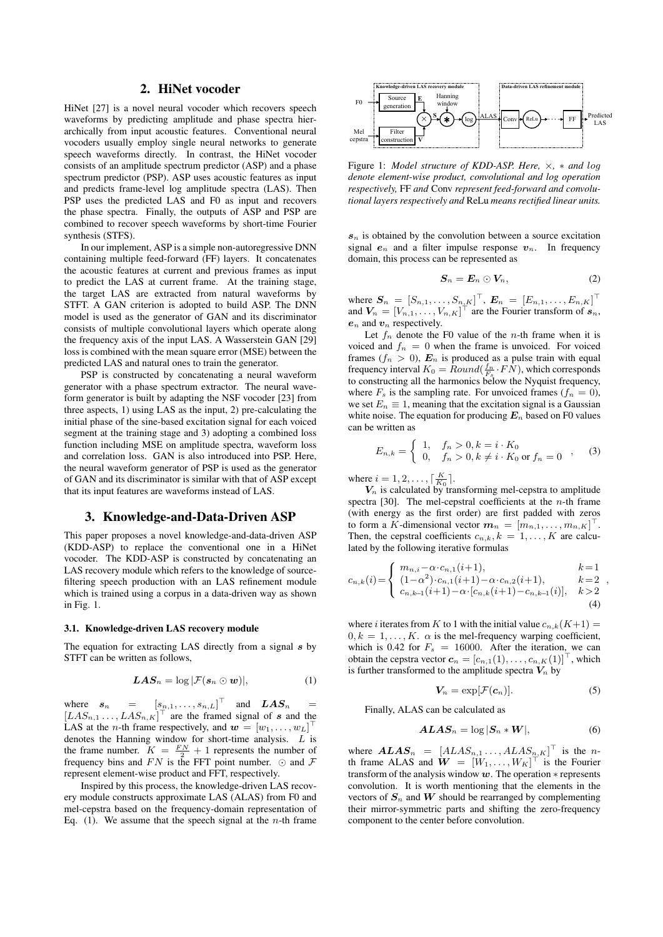# 2. HiNet vocoder

<span id="page-1-0"></span>HiNet [\[27\]](#page-4-20) is a novel neural vocoder which recovers speech waveforms by predicting amplitude and phase spectra hierarchically from input acoustic features. Conventional neural vocoders usually employ single neural networks to generate speech waveforms directly. In contrast, the HiNet vocoder consists of an amplitude spectrum predictor (ASP) and a phase spectrum predictor (PSP). ASP uses acoustic features as input and predicts frame-level log amplitude spectra (LAS). Then PSP uses the predicted LAS and F0 as input and recovers the phase spectra. Finally, the outputs of ASP and PSP are combined to recover speech waveforms by short-time Fourier synthesis (STFS).

In our implement, ASP is a simple non-autoregressive DNN containing multiple feed-forward (FF) layers. It concatenates the acoustic features at current and previous frames as input to predict the LAS at current frame. At the training stage, the target LAS are extracted from natural waveforms by STFT. A GAN criterion is adopted to build ASP. The DNN model is used as the generator of GAN and its discriminator consists of multiple convolutional layers which operate along the frequency axis of the input LAS. A Wasserstein GAN [\[29\]](#page-4-22) loss is combined with the mean square error (MSE) between the predicted LAS and natural ones to train the generator.

PSP is constructed by concatenating a neural waveform generator with a phase spectrum extractor. The neural waveform generator is built by adapting the NSF vocoder [\[23\]](#page-4-18) from three aspects, 1) using LAS as the input, 2) pre-calculating the initial phase of the sine-based excitation signal for each voiced segment at the training stage and 3) adopting a combined loss function including MSE on amplitude spectra, waveform loss and correlation loss. GAN is also introduced into PSP. Here, the neural waveform generator of PSP is used as the generator of GAN and its discriminator is similar with that of ASP except that its input features are waveforms instead of LAS.

### <span id="page-1-1"></span>3. Knowledge-and-Data-Driven ASP

This paper proposes a novel knowledge-and-data-driven ASP (KDD-ASP) to replace the conventional one in a HiNet vocoder. The KDD-ASP is constructed by concatenating an LAS recovery module which refers to the knowledge of sourcefiltering speech production with an LAS refinement module which is trained using a corpus in a data-driven way as shown in Fig. [1.](#page-1-2)

#### 3.1. Knowledge-driven LAS recovery module

The equation for extracting LAS directly from a signal  $s$  by STFT can be written as follows,

$$
LAS_n = \log |\mathcal{F}(s_n \odot w)|, \tag{1}
$$

where  $s_n = [s_{n,1}, \dots, s_{n,L}]^\top$  and  $LAS_n =$  $[LAS_{n,1} \ldots, LAS_{n,K}]^{\top}$  are the framed signal of s and the LAS at the *n*-th frame respectively, and  $\mathbf{w} = [w_1, \dots, w_L]^\top$ denotes the Hanning window for short-time analysis.  $L$  is the frame number.  $K = \frac{FN}{2} + 1$  represents the number of frequency bins and  $FN$  is the FFT point number.  $\odot$  and  $\ddot{F}$ represent element-wise product and FFT, respectively.

Inspired by this process, the knowledge-driven LAS recovery module constructs approximate LAS (ALAS) from F0 and mel-cepstra based on the frequency-domain representation of Eq. [\(1\)](#page-1-3). We assume that the speech signal at the *n*-th frame



<span id="page-1-2"></span>Figure 1: *Model structure of KDD-ASP. Here,* ×*,* ∗ *and* log *denote element-wise product, convolutional and log operation respectively,* FF *and* Conv *represent feed-forward and convolutional layers respectively and* ReLu *means rectified linear units.*

 $s_n$  is obtained by the convolution between a source excitation signal  $e_n$  and a filter impulse response  $v_n$ . In frequency domain, this process can be represented as

$$
\mathbf{S}_n = \mathbf{E}_n \odot \mathbf{V}_n, \tag{2}
$$

where  $S_n = [S_{n,1}, \ldots, S_{n,K}]^\top$ ,  $E_n = [E_{n,1}, \ldots, E_{n,K}]^\top$ and  $V_n = [V_{n,1}, \ldots, V_{n,K}]^\top$  are the Fourier transform of  $s_n$ ,  $e_n$  and  $v_n$  respectively.

Let  $f_n$  denote the F0 value of the *n*-th frame when it is voiced and  $f_n = 0$  when the frame is unvoiced. For voiced frames  $(f_n > 0)$ ,  $E_n$  is produced as a pulse train with equal frequency interval  $K_0 = Round(\frac{f_n}{F_s} \cdot \overline{FN})$ , which corresponds to constructing all the harmonics below the Nyquist frequency, where  $F_s$  is the sampling rate. For unvoiced frames  $(f_n = 0)$ , we set  $E_n \equiv 1$ , meaning that the excitation signal is a Gaussian white noise. The equation for producing  $E_n$  based on F0 values can be written as

$$
E_{n,k} = \begin{cases} 1, & f_n > 0, k = i \cdot K_0 \\ 0, & f_n > 0, k \neq i \cdot K_0 \text{ or } f_n = 0 \end{cases}
$$
 (3)

where  $i = 1, 2, \ldots, \lceil \frac{K}{K_0} \rceil$ .

 $V_n$  is calculated by transforming mel-cepstra to amplitude spectra [\[30\]](#page-4-23). The mel-cepstral coefficients at the  $n$ -th frame (with energy as the first order) are first padded with zeros to form a K-dimensional vector  $\mathbf{m}_n = [m_{n,1}, \dots, m_{n,K}]^\top$ . Then, the cepstral coefficients  $c_{n,k}, k = 1, \ldots, K$  are calculated by the following iterative formulas

$$
c_{n,k}(i) = \begin{cases} m_{n,i} - \alpha \cdot c_{n,1}(i+1), & k=1\\ (1-\alpha^2) \cdot c_{n,1}(i+1) - \alpha \cdot c_{n,2}(i+1), & k=2\\ c_{n,k-1}(i+1) - \alpha \cdot [c_{n,k}(i+1) - c_{n,k-1}(i)], & k>2 \end{cases}
$$
(4)

<span id="page-1-3"></span>where *i* iterates from K to 1 with the initial value  $c_{n,k}(K+1) =$  $0, k = 1, \ldots, K$ .  $\alpha$  is the mel-frequency warping coefficient, which is 0.42 for  $F_s = 16000$ . After the iteration, we can obtain the cepstra vector  $c_n = [c_{n,1}(1), \ldots, c_{n,K}(1)]^\top$ , which is further transformed to the amplitude spectra  $V_n$  by

$$
V_n = \exp[\mathcal{F}(\boldsymbol{c}_n)]. \tag{5}
$$

,

Finally, ALAS can be calculated as

$$
ALAS_n = \log |S_n * W|, \tag{6}
$$

where  $ALAS_n = [ALAS_{n,1} \dots, ALAS_{n,K}]^\top$  is the nth frame ALAS and  $\mathbf{W} = [W_1, \dots, W_K]^\top$  is the Fourier transform of the analysis window  $w$ . The operation  $*$  represents convolution. It is worth mentioning that the elements in the vectors of  $S_n$  and W should be rearranged by complementing their mirror-symmetric parts and shifting the zero-frequency component to the center before convolution.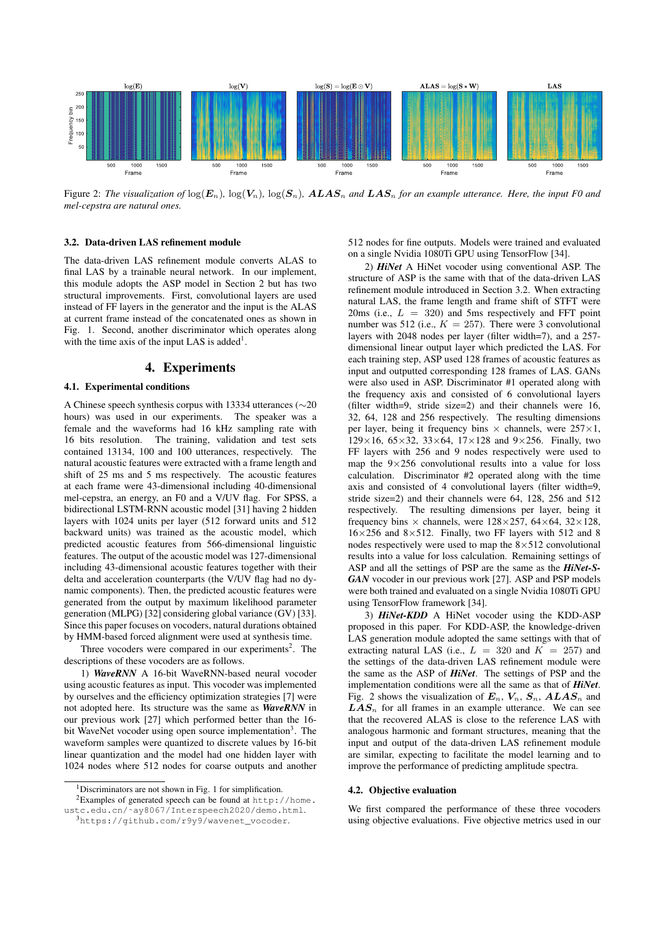

<span id="page-2-5"></span>Figure 2: The visualization of  $\log(E_n)$ ,  $\log(V_n)$ ,  $\log(S_n)$ ,  $ALAS_n$  and  $LAS_n$  for an example utterance. Here, the input F0 and *mel-cepstra are natural ones.*

## <span id="page-2-4"></span>3.2. Data-driven LAS refinement module

The data-driven LAS refinement module converts ALAS to final LAS by a trainable neural network. In our implement, this module adopts the ASP model in Section [2](#page-1-0) but has two structural improvements. First, convolutional layers are used instead of FF layers in the generator and the input is the ALAS at current frame instead of the concatenated ones as shown in Fig. [1.](#page-1-2) Second, another discriminator which operates along with the time axis of the input LAS is added<sup>[1](#page-2-1)</sup>.

### 4. Experiments

### <span id="page-2-0"></span>4.1. Experimental conditions

A Chinese speech synthesis corpus with 13334 utterances (∼20 hours) was used in our experiments. The speaker was a female and the waveforms had 16 kHz sampling rate with 16 bits resolution. The training, validation and test sets contained 13134, 100 and 100 utterances, respectively. The natural acoustic features were extracted with a frame length and shift of 25 ms and 5 ms respectively. The acoustic features at each frame were 43-dimensional including 40-dimensional mel-cepstra, an energy, an F0 and a V/UV flag. For SPSS, a bidirectional LSTM-RNN acoustic model [\[31\]](#page-4-24) having 2 hidden layers with 1024 units per layer (512 forward units and 512 backward units) was trained as the acoustic model, which predicted acoustic features from 566-dimensional linguistic features. The output of the acoustic model was 127-dimensional including 43-dimensional acoustic features together with their delta and acceleration counterparts (the V/UV flag had no dynamic components). Then, the predicted acoustic features were generated from the output by maximum likelihood parameter generation (MLPG) [\[32\]](#page-4-25) considering global variance (GV) [\[33\]](#page-4-26). Since this paper focuses on vocoders, natural durations obtained by HMM-based forced alignment were used at synthesis time.

Three vocoders were compared in our experiments<sup>[2](#page-2-2)</sup>. The descriptions of these vocoders are as follows.

1) *WaveRNN* A 16-bit WaveRNN-based neural vocoder using acoustic features as input. This vocoder was implemented by ourselves and the efficiency optimization strategies [\[7\]](#page-4-6) were not adopted here. Its structure was the same as *WaveRNN* in our previous work [\[27\]](#page-4-20) which performed better than the 16- bit WaveNet vocoder using open source implementation<sup>[3](#page-2-3)</sup>. The waveform samples were quantized to discrete values by 16-bit linear quantization and the model had one hidden layer with 1024 nodes where 512 nodes for coarse outputs and another

<sup>2</sup>Examples of generated speech can be found at  $h$ ttp://home. [ustc.edu.cn/˜ay8067/Interspeech2020/demo.html](http://home.ustc.edu.cn/~ay8067/Interspeech2020/demo.html).

512 nodes for fine outputs. Models were trained and evaluated on a single Nvidia 1080Ti GPU using TensorFlow [\[34\]](#page-4-27).

2) *HiNet* A HiNet vocoder using conventional ASP. The structure of ASP is the same with that of the data-driven LAS refinement module introduced in Section [3.2.](#page-2-4) When extracting natural LAS, the frame length and frame shift of STFT were 20ms (i.e.,  $L = 320$ ) and 5ms respectively and FFT point number was 512 (i.e.,  $K = 257$ ). There were 3 convolutional layers with 2048 nodes per layer (filter width=7), and a 257 dimensional linear output layer which predicted the LAS. For each training step, ASP used 128 frames of acoustic features as input and outputted corresponding 128 frames of LAS. GANs were also used in ASP. Discriminator #1 operated along with the frequency axis and consisted of 6 convolutional layers (filter width=9, stride size=2) and their channels were 16, 32, 64, 128 and 256 respectively. The resulting dimensions per layer, being it frequency bins  $\times$  channels, were 257 $\times$ 1,  $129\times16$ ,  $65\times32$ ,  $33\times64$ ,  $17\times128$  and  $9\times256$ . Finally, two FF layers with 256 and 9 nodes respectively were used to map the  $9 \times 256$  convolutional results into a value for loss calculation. Discriminator #2 operated along with the time axis and consisted of 4 convolutional layers (filter width=9, stride size=2) and their channels were 64, 128, 256 and 512 respectively. The resulting dimensions per layer, being it frequency bins  $\times$  channels, were 128 $\times$ 257, 64 $\times$ 64, 32 $\times$ 128,  $16\times256$  and  $8\times512$ . Finally, two FF layers with 512 and 8 nodes respectively were used to map the  $8 \times 512$  convolutional results into a value for loss calculation. Remaining settings of ASP and all the settings of PSP are the same as the *HiNet-S-GAN* vocoder in our previous work [\[27\]](#page-4-20). ASP and PSP models were both trained and evaluated on a single Nvidia 1080Ti GPU using TensorFlow framework [\[34\]](#page-4-27).

3) *HiNet-KDD* A HiNet vocoder using the KDD-ASP proposed in this paper. For KDD-ASP, the knowledge-driven LAS generation module adopted the same settings with that of extracting natural LAS (i.e.,  $L = 320$  and  $K = 257$ ) and the settings of the data-driven LAS refinement module were the same as the ASP of *HiNet*. The settings of PSP and the implementation conditions were all the same as that of *HiNet*. Fig. [2](#page-2-5) shows the visualization of  $E_n$ ,  $V_n$ ,  $S_n$ ,  $ALAS_n$  and  $LAS_n$  for all frames in an example utterance. We can see that the recovered ALAS is close to the reference LAS with analogous harmonic and formant structures, meaning that the input and output of the data-driven LAS refinement module are similar, expecting to facilitate the model learning and to improve the performance of predicting amplitude spectra.

#### 4.2. Objective evaluation

We first compared the performance of these three vocoders using objective evaluations. Five objective metrics used in our

<span id="page-2-2"></span><span id="page-2-1"></span><sup>&</sup>lt;sup>[1](#page-1-2)</sup>Discriminators are not shown in Fig. 1 for simplification.

<span id="page-2-3"></span><sup>3</sup>[https://github.com/r9y9/wavenet\\_vocoder](https://github.com/r9y9/wavenet_vocoder).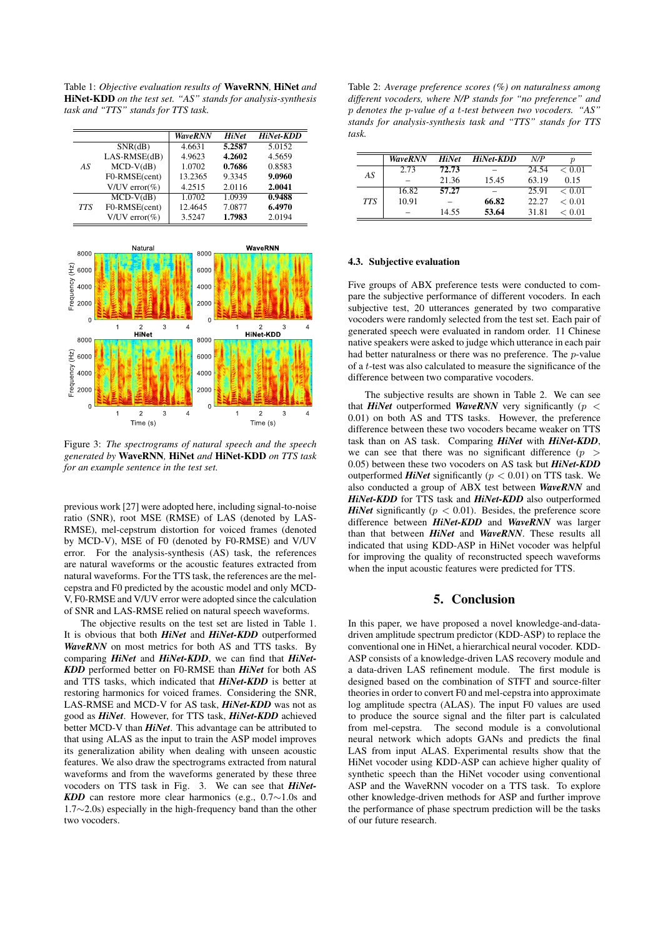<span id="page-3-1"></span>Table 1: *Objective evaluation results of* WaveRNN*,* HiNet *and* HiNet-KDD *on the test set. "AS" stands for analysis-synthesis task and "TTS" stands for TTS task.*

|            |                      | <b>WaveRNN</b> | <b>HiNet</b> | <b>HiNet-KDD</b> |
|------------|----------------------|----------------|--------------|------------------|
|            | SNR(dB)              | 4.6631         | 5.2587       | 5.0152           |
|            | $LAS-RMSE(dB)$       | 4.9623         | 4.2602       | 4.5659           |
| AS         | $MCD-V(dB)$          | 1.0702         | 0.7686       | 0.8583           |
|            | F0-RMSE(cent)        | 13.2365        | 9.3345       | 9.0960           |
|            | V/UV error $(\% )$   | 4.2515         | 2.0116       | 2.0041           |
| <b>TTS</b> | $MCD-V(dB)$          | 1.0702         | 1.0939       | 0.9488           |
|            | F0-RMSE(cent)        | 12.4645        | 7.0877       | 6.4970           |
|            | $V/UV$ error $(\%$ ) | 3.5247         | 1.7983       | 2.0194           |



<span id="page-3-2"></span>Figure 3: *The spectrograms of natural speech and the speech generated by* WaveRNN*,* HiNet *and* HiNet-KDD *on TTS task for an example sentence in the test set.*

previous work [\[27\]](#page-4-20) were adopted here, including signal-to-noise ratio (SNR), root MSE (RMSE) of LAS (denoted by LAS-RMSE), mel-cepstrum distortion for voiced frames (denoted by MCD-V), MSE of F0 (denoted by F0-RMSE) and V/UV error. For the analysis-synthesis (AS) task, the references are natural waveforms or the acoustic features extracted from natural waveforms. For the TTS task, the references are the melcepstra and F0 predicted by the acoustic model and only MCD-V, F0-RMSE and V/UV error were adopted since the calculation of SNR and LAS-RMSE relied on natural speech waveforms.

The objective results on the test set are listed in Table [1.](#page-3-1) It is obvious that both *HiNet* and *HiNet-KDD* outperformed *WaveRNN* on most metrics for both AS and TTS tasks. By comparing *HiNet* and *HiNet-KDD*, we can find that *HiNet-KDD* performed better on F0-RMSE than *HiNet* for both AS and TTS tasks, which indicated that *HiNet-KDD* is better at restoring harmonics for voiced frames. Considering the SNR, LAS-RMSE and MCD-V for AS task, *HiNet-KDD* was not as good as *HiNet*. However, for TTS task, *HiNet-KDD* achieved better MCD-V than *HiNet*. This advantage can be attributed to that using ALAS as the input to train the ASP model improves its generalization ability when dealing with unseen acoustic features. We also draw the spectrograms extracted from natural waveforms and from the waveforms generated by these three vocoders on TTS task in Fig. [3.](#page-3-2) We can see that *HiNet-KDD* can restore more clear harmonics (e.g., 0.7∼1.0s and 1.7∼2.0s) especially in the high-frequency band than the other two vocoders.

<span id="page-3-3"></span>Table 2: *Average preference scores (%) on naturalness among different vocoders, where N/P stands for "no preference" and* p *denotes the* p*-value of a* t*-test between two vocoders. "AS" stands for analysis-synthesis task and "TTS" stands for TTS task.*

|            | <b>WaveRNN</b> | <b>HiNet</b> | HiNet-KDD | N/P   | р      |
|------------|----------------|--------------|-----------|-------|--------|
| AS         | 2.73           | 72.73        |           | 24.54 | < 0.01 |
|            |                | 21.36        | 15.45     | 63.19 | 0.15   |
| <b>TTS</b> | 16.82          | 57.27        |           | 25.91 | < 0.01 |
|            | 10.91          |              | 66.82     | 22.27 | < 0.01 |
|            |                | 14.55        | 53.64     | 31.81 | < 0.01 |

#### 4.3. Subjective evaluation

Five groups of ABX preference tests were conducted to compare the subjective performance of different vocoders. In each subjective test, 20 utterances generated by two comparative vocoders were randomly selected from the test set. Each pair of generated speech were evaluated in random order. 11 Chinese native speakers were asked to judge which utterance in each pair had better naturalness or there was no preference. The p-value of a t-test was also calculated to measure the significance of the difference between two comparative vocoders.

The subjective results are shown in Table [2.](#page-3-3) We can see that *HiNet* outperformed *WaveRNN* very significantly ( $p <$ 0.01) on both AS and TTS tasks. However, the preference difference between these two vocoders became weaker on TTS task than on AS task. Comparing *HiNet* with *HiNet-KDD*, we can see that there was no significant difference  $(p >$ 0.05) between these two vocoders on AS task but *HiNet-KDD* outperformed *HiNet* significantly  $(p < 0.01)$  on TTS task. We also conducted a group of ABX test between *WaveRNN* and *HiNet-KDD* for TTS task and *HiNet-KDD* also outperformed *HiNet* significantly ( $p < 0.01$ ). Besides, the preference score difference between *HiNet-KDD* and *WaveRNN* was larger than that between *HiNet* and *WaveRNN*. These results all indicated that using KDD-ASP in HiNet vocoder was helpful for improving the quality of reconstructed speech waveforms when the input acoustic features were predicted for TTS.

## 5. Conclusion

<span id="page-3-0"></span>In this paper, we have proposed a novel knowledge-and-datadriven amplitude spectrum predictor (KDD-ASP) to replace the conventional one in HiNet, a hierarchical neural vocoder. KDD-ASP consists of a knowledge-driven LAS recovery module and a data-driven LAS refinement module. The first module is designed based on the combination of STFT and source-filter theories in order to convert F0 and mel-cepstra into approximate log amplitude spectra (ALAS). The input F0 values are used to produce the source signal and the filter part is calculated from mel-cepstra. The second module is a convolutional neural network which adopts GANs and predicts the final LAS from input ALAS. Experimental results show that the HiNet vocoder using KDD-ASP can achieve higher quality of synthetic speech than the HiNet vocoder using conventional ASP and the WaveRNN vocoder on a TTS task. To explore other knowledge-driven methods for ASP and further improve the performance of phase spectrum prediction will be the tasks of our future research.